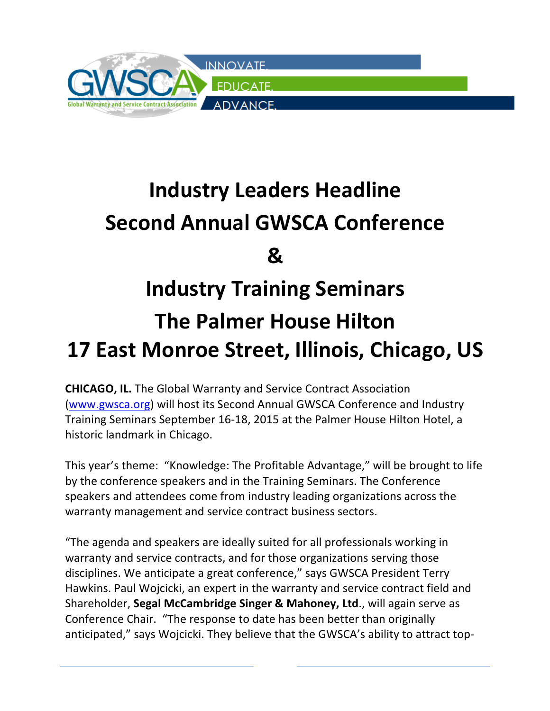

## **Industry Leaders Headline Second Annual GWSCA Conference & Industry Training Seminars The Palmer House Hilton 17 East Monroe Street, Illinois, Chicago, US**

**CHICAGO, IL.** The Global Warranty and Service Contract Association (www.gwsca.org) will host its Second Annual GWSCA Conference and Industry Training Seminars September 16-18, 2015 at the Palmer House Hilton Hotel, a historic landmark in Chicago.

This year's theme: "Knowledge: The Profitable Advantage," will be brought to life by the conference speakers and in the Training Seminars. The Conference speakers and attendees come from industry leading organizations across the warranty management and service contract business sectors.

"The agenda and speakers are ideally suited for all professionals working in warranty and service contracts, and for those organizations serving those disciplines. We anticipate a great conference," says GWSCA President Terry Hawkins. Paul Wojcicki, an expert in the warranty and service contract field and Shareholder, Segal McCambridge Singer & Mahoney, Ltd., will again serve as Conference Chair. "The response to date has been better than originally anticipated," says Wojcicki. They believe that the GWSCA's ability to attract top-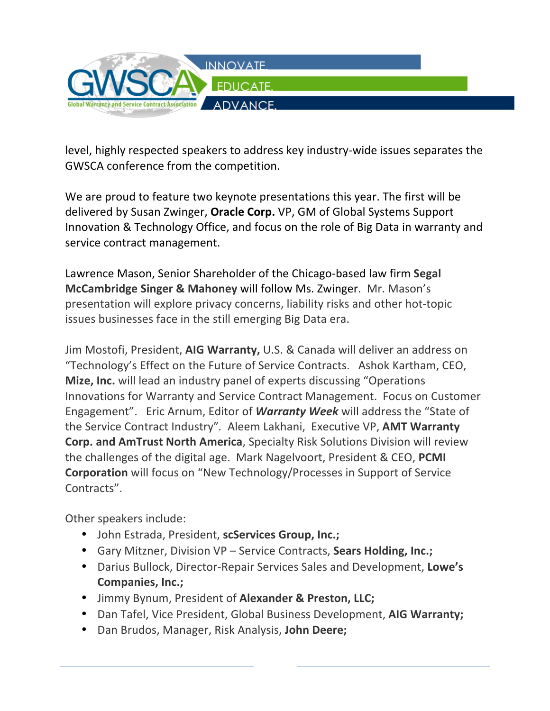

level, highly respected speakers to address key industry-wide issues separates the GWSCA conference from the competition.

We are proud to feature two keynote presentations this year. The first will be delivered by Susan Zwinger, **Oracle Corp.** VP, GM of Global Systems Support Innovation & Technology Office, and focus on the role of Big Data in warranty and service contract management.

Lawrence Mason, Senior Shareholder of the Chicago-based law firm Segal **McCambridge Singer & Mahoney will follow Ms. Zwinger.** Mr. Mason's presentation will explore privacy concerns, liability risks and other hot-topic issues businesses face in the still emerging Big Data era.

Jim Mostofi, President, AIG Warranty, U.S. & Canada will deliver an address on "Technology's Effect on the Future of Service Contracts. Ashok Kartham, CEO, **Mize, Inc.** will lead an industry panel of experts discussing "Operations" Innovations for Warranty and Service Contract Management. Focus on Customer Engagement". Eric Arnum, Editor of **Warranty Week** will address the "State of the Service Contract Industry". Aleem Lakhani, Executive VP, AMT Warranty **Corp. and AmTrust North America**, Specialty Risk Solutions Division will review the challenges of the digital age. Mark Nagelvoort, President & CEO, PCMI **Corporation** will focus on "New Technology/Processes in Support of Service Contracts".

Other speakers include:

- John Estrada, President, scServices Group, Inc.;
- Gary Mitzner, Division VP Service Contracts, Sears Holding, Inc.;
- Darius Bullock, Director-Repair Services Sales and Development, Lowe's **Companies, Inc.;**
- Jimmy Bynum, President of **Alexander & Preston, LLC;**
- Dan Tafel, Vice President, Global Business Development, AIG Warranty;
- Dan Brudos, Manager, Risk Analysis, **John Deere;**